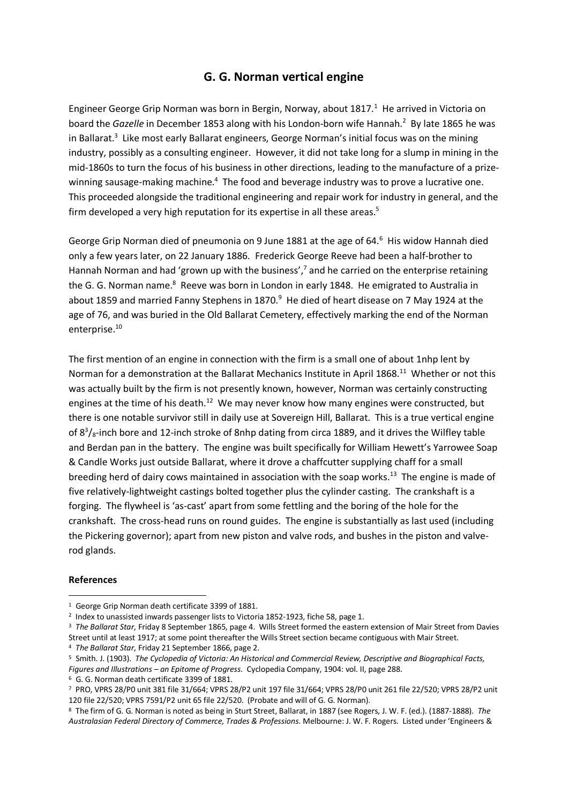## **G. G. Norman vertical engine**

Engineer George Grip Norman was born in Bergin, Norway, about 1817.<sup>1</sup> He arrived in Victoria on board the *Gazelle* in December 1853 along with his London-born wife Hannah.<sup>2</sup> By late 1865 he was in Ballarat.<sup>3</sup> Like most early Ballarat engineers, George Norman's initial focus was on the mining industry, possibly as a consulting engineer. However, it did not take long for a slump in mining in the mid-1860s to turn the focus of his business in other directions, leading to the manufacture of a prizewinning sausage-making machine.<sup>4</sup> The food and beverage industry was to prove a lucrative one. This proceeded alongside the traditional engineering and repair work for industry in general, and the firm developed a very high reputation for its expertise in all these areas.<sup>5</sup>

George Grip Norman died of pneumonia on 9 June 1881 at the age of 64.<sup>6</sup> His widow Hannah died only a few years later, on 22 January 1886. Frederick George Reeve had been a half-brother to Hannah Norman and had 'grown up with the business',<sup>7</sup> and he carried on the enterprise retaining the G. G. Norman name.<sup>8</sup> Reeve was born in London in early 1848. He emigrated to Australia in about 1859 and married Fanny Stephens in 1870. $9$  He died of heart disease on 7 May 1924 at the age of 76, and was buried in the Old Ballarat Cemetery, effectively marking the end of the Norman enterprise. 10

The first mention of an engine in connection with the firm is a small one of about 1nhp lent by Norman for a demonstration at the Ballarat Mechanics Institute in April 1868.<sup>11</sup> Whether or not this was actually built by the firm is not presently known, however, Norman was certainly constructing engines at the time of his death.<sup>12</sup> We may never know how many engines were constructed, but there is one notable survivor still in daily use at Sovereign Hill, Ballarat. This is a true vertical engine of  $8<sup>3</sup>/s$ -inch bore and 12-inch stroke of 8nhp dating from circa 1889, and it drives the Wilfley table and Berdan pan in the battery. The engine was built specifically for William Hewett's Yarrowee Soap & Candle Works just outside Ballarat, where it drove a chaffcutter supplying chaff for a small breeding herd of dairy cows maintained in association with the soap works.<sup>13</sup> The engine is made of five relatively-lightweight castings bolted together plus the cylinder casting. The crankshaft is a forging. The flywheel is 'as-cast' apart from some fettling and the boring of the hole for the crankshaft. The cross-head runs on round guides. The engine is substantially as last used (including the Pickering governor); apart from new piston and valve rods, and bushes in the piston and valverod glands.

## **References**

 <sup>1</sup> George Grip Norman death certificate 3399 of 1881.

<sup>&</sup>lt;sup>2</sup> Index to unassisted inwards passenger lists to Victoria 1852-1923, fiche 58, page 1.

<sup>3</sup> *The Ballarat Star*, Friday 8 September 1865, page 4. Wills Street formed the eastern extension of Mair Street from Davies Street until at least 1917; at some point thereafter the Wills Street section became contiguous with Mair Street.

<sup>4</sup> *The Ballarat Star*, Friday 21 September 1866, page 2.

<sup>5</sup> Smith. J. (1903). *The Cyclopedia of Victoria: An Historical and Commercial Review, Descriptive and Biographical Facts,* 

*Figures and Illustrations – an Epitome of Progress*. Cyclopedia Company, 1904: vol. II, page 288.

<sup>6</sup> G. G. Norman death certificate 3399 of 1881.

<sup>7</sup> PRO, VPRS 28/P0 unit 381 file 31/664; VPRS 28/P2 unit 197 file 31/664; VPRS 28/P0 unit 261 file 22/520; VPRS 28/P2 unit 120 file 22/520; VPRS 7591/P2 unit 65 file 22/520. (Probate and will of G. G. Norman).

<sup>8</sup> The firm of G. G. Norman is noted as being in Sturt Street, Ballarat, in 1887 (see Rogers, J. W. F. (ed.). (1887-1888). *The Australasian Federal Directory of Commerce, Trades & Professions*. Melbourne: J. W. F. Rogers. Listed under 'Engineers &